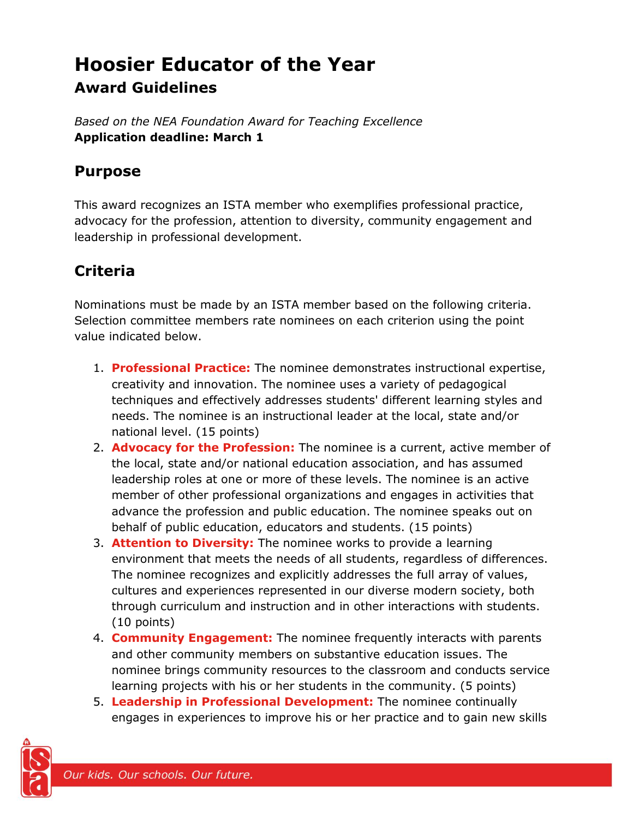# **Hoosier Educator of the Year Award Guidelines**

*Based on the NEA Foundation Award for Teaching Excellence* **Application deadline: March 1** 

### **Purpose**

This award recognizes an ISTA member who exemplifies professional practice, advocacy for the profession, attention to diversity, community engagement and leadership in professional development.

# **Criteria**

Nominations must be made by an ISTA member based on the following criteria. Selection committee members rate nominees on each criterion using the point value indicated below.

- 1. **Professional Practice:** The nominee demonstrates instructional expertise, creativity and innovation. The nominee uses a variety of pedagogical techniques and effectively addresses students' different learning styles and needs. The nominee is an instructional leader at the local, state and/or national level. (15 points)
- 2. **Advocacy for the Profession:** The nominee is a current, active member of the local, state and/or national education association, and has assumed leadership roles at one or more of these levels. The nominee is an active member of other professional organizations and engages in activities that advance the profession and public education. The nominee speaks out on behalf of public education, educators and students. (15 points)
- 3. **Attention to Diversity:** The nominee works to provide a learning environment that meets the needs of all students, regardless of differences. The nominee recognizes and explicitly addresses the full array of values, cultures and experiences represented in our diverse modern society, both through curriculum and instruction and in other interactions with students. (10 points)
- 4. **Community Engagement:** The nominee frequently interacts with parents and other community members on substantive education issues. The nominee brings community resources to the classroom and conducts service learning projects with his or her students in the community. (5 points)
- 5. **Leadership in Professional Development:** The nominee continually engages in experiences to improve his or her practice and to gain new skills

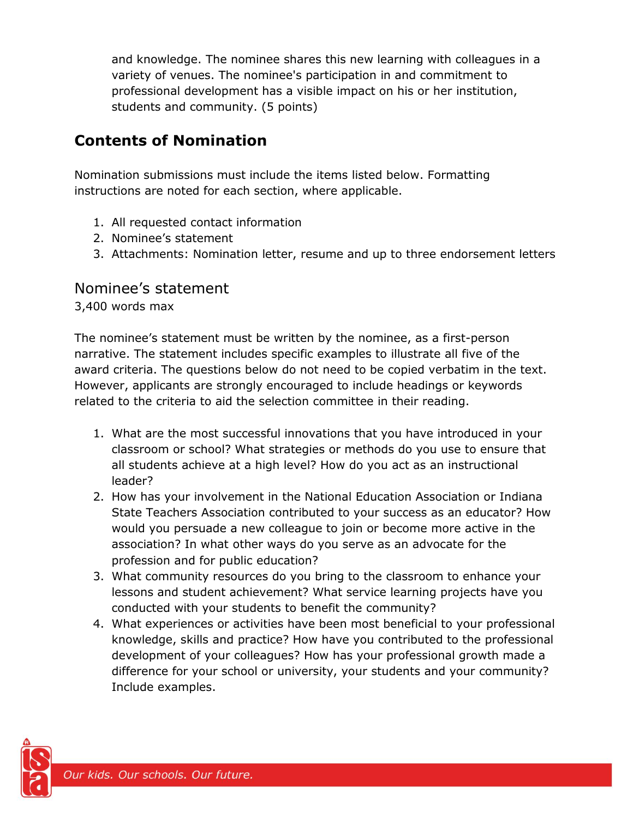and knowledge. The nominee shares this new learning with colleagues in a variety of venues. The nominee's participation in and commitment to professional development has a visible impact on his or her institution, students and community. (5 points)

## **Contents of Nomination**

Nomination submissions must include the items listed below. Formatting instructions are noted for each section, where applicable.

- 1. All requested contact information
- 2. Nominee's statement
- 3. Attachments: Nomination letter, resume and up to three endorsement letters

#### Nominee's statement

3,400 words max

The nominee's statement must be written by the nominee, as a first-person narrative. The statement includes specific examples to illustrate all five of the award criteria. The questions below do not need to be copied verbatim in the text. However, applicants are strongly encouraged to include headings or keywords related to the criteria to aid the selection committee in their reading.

- 1. What are the most successful innovations that you have introduced in your classroom or school? What strategies or methods do you use to ensure that all students achieve at a high level? How do you act as an instructional leader?
- 2. How has your involvement in the National Education Association or Indiana State Teachers Association contributed to your success as an educator? How would you persuade a new colleague to join or become more active in the association? In what other ways do you serve as an advocate for the profession and for public education?
- 3. What community resources do you bring to the classroom to enhance your lessons and student achievement? What service learning projects have you conducted with your students to benefit the community?
- 4. What experiences or activities have been most beneficial to your professional knowledge, skills and practice? How have you contributed to the professional development of your colleagues? How has your professional growth made a difference for your school or university, your students and your community? Include examples.